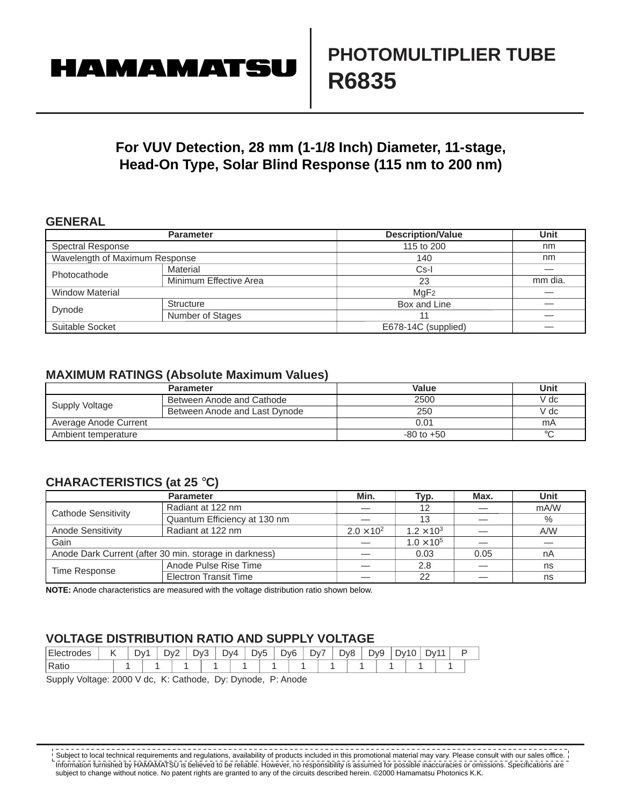# **HAMAMATSU**

## **For VUV Detection, 28 mm (1-1/8 Inch) Diameter, 11-stage, Head-On Type, Solar Blind Response (115 nm to 200 nm)**

## **GENERAL**

|                                | <b>Parameter</b>       | <b>Description/Value</b> | Unit    |  |  |
|--------------------------------|------------------------|--------------------------|---------|--|--|
| <b>Spectral Response</b>       |                        | 115 to 200               | nm      |  |  |
| Wavelength of Maximum Response |                        | 140                      | nm      |  |  |
| Photocathode                   | Material               | $Cs-I$                   |         |  |  |
|                                | Minimum Effective Area | 23                       | mm dia. |  |  |
| <b>Window Material</b>         |                        | MqF <sub>2</sub>         |         |  |  |
| Dynode                         | Structure              | Box and Line             |         |  |  |
|                                | Number of Stages       | 11                       |         |  |  |
| Suitable Socket                |                        | E678-14C (supplied)      |         |  |  |

### **MAXIMUM RATINGS (Absolute Maximum Values)**

|                       | <b>Parameter</b>              | Value          | Unit    |
|-----------------------|-------------------------------|----------------|---------|
| Supply Voltage        | Between Anode and Cathode     | 2500           | V dc    |
|                       | Between Anode and Last Dynode | 250            | V dc    |
| Average Anode Current |                               | 0.01           | mA      |
| Ambient temperature   |                               | $-80$ to $+50$ | $\circ$ |

## **CHARACTERISTICS (at 25** °**C)**

|                          | <b>Parameter</b>                                                       | Min.                | Typ.                | Max. | <b>Unit</b> |  |
|--------------------------|------------------------------------------------------------------------|---------------------|---------------------|------|-------------|--|
| Cathode Sensitivity      | Radiant at 122 nm                                                      |                     | 12                  |      | mA/W        |  |
|                          | Quantum Efficiency at 130 nm                                           |                     | 13                  |      | $\%$        |  |
| <b>Anode Sensitivity</b> | Radiant at 122 nm                                                      | $2.0 \times 10^{2}$ | $1.2 \times 10^{3}$ |      | A/W         |  |
| Gain                     |                                                                        |                     | $1.0 \times 10^5$   |      |             |  |
|                          | Anode Dark Current (after 30 min. storage in darkness)<br>0.05<br>0.03 |                     | nA                  |      |             |  |
| Time Response            | Anode Pulse Rise Time                                                  |                     | 2.8                 |      | ns          |  |
|                          | <b>Electron Transit Time</b>                                           |                     | 22                  |      | ns          |  |

**NOTE:** Anode characteristics are measured with the voltage distribution ratio shown below.

## **VOLTAGE DISTRIBUTION RATIO AND SUPPLY VOLTAGE**

| Electrodes                                                        |  |  | Dv1 | Dv2 |  | Dv3 | Dv4 |  | Dv5 | D <sub>v</sub> 6 |  | Dv7 | D <sub>v</sub> 8 | Dv9 | Dv10 | Dv11 |  |
|-------------------------------------------------------------------|--|--|-----|-----|--|-----|-----|--|-----|------------------|--|-----|------------------|-----|------|------|--|
| Ratic                                                             |  |  |     |     |  |     |     |  |     |                  |  |     |                  |     |      |      |  |
| Sunnly Voltage: 2000 V de<br>K: Cathode<br>Du: Dunode<br>P. Anode |  |  |     |     |  |     |     |  |     |                  |  |     |                  |     |      |      |  |

Supply Voltage: 2000 V dc, K: Cathode, Dy: Dynode, P: Anode

Information furnished by HAMAMATSU is believed to be reliable. However, no responsibility is assumed for possible inaccuracies or omissions. Specifications are subject to change without notice. No patent rights are granted to any of the circuits described herein. ©2000 Hamamatsu Photonics K.K.  $\frac{1}{2}$  Subject to local technical requirements and regulations, availability of products included in this promotional material may vary. Please consult with our sales office.